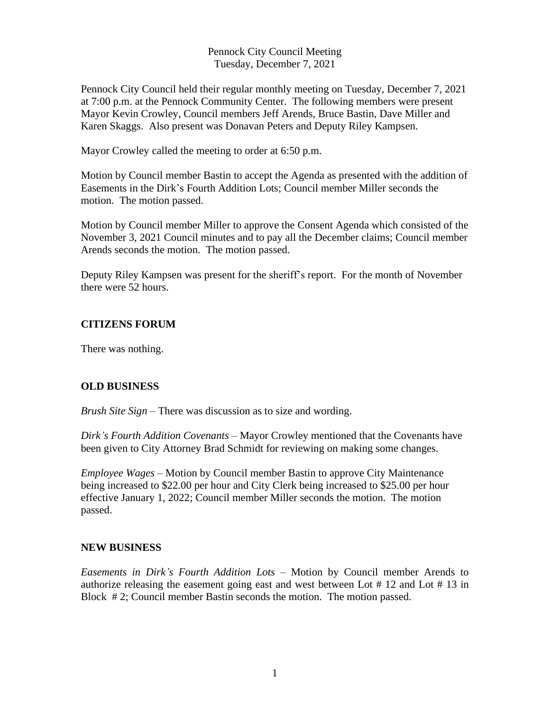Pennock City Council Meeting Tuesday, December 7, 2021

Pennock City Council held their regular monthly meeting on Tuesday, December 7, 2021 at 7:00 p.m. at the Pennock Community Center. The following members were present Mayor Kevin Crowley, Council members Jeff Arends, Bruce Bastin, Dave Miller and Karen Skaggs. Also present was Donavan Peters and Deputy Riley Kampsen.

Mayor Crowley called the meeting to order at 6:50 p.m.

Motion by Council member Bastin to accept the Agenda as presented with the addition of Easements in the Dirk's Fourth Addition Lots; Council member Miller seconds the motion. The motion passed.

Motion by Council member Miller to approve the Consent Agenda which consisted of the November 3, 2021 Council minutes and to pay all the December claims; Council member Arends seconds the motion. The motion passed.

Deputy Riley Kampsen was present for the sheriff's report. For the month of November there were 52 hours.

## **CITIZENS FORUM**

There was nothing.

## **OLD BUSINESS**

*Brush Site Sign* – There was discussion as to size and wording.

*Dirk's Fourth Addition Covenants –* Mayor Crowley mentioned that the Covenants have been given to City Attorney Brad Schmidt for reviewing on making some changes.

*Employee Wages* – Motion by Council member Bastin to approve City Maintenance being increased to \$22.00 per hour and City Clerk being increased to \$25.00 per hour effective January 1, 2022; Council member Miller seconds the motion. The motion passed.

## **NEW BUSINESS**

*Easements in Dirk's Fourth Addition Lots –* Motion by Council member Arends to authorize releasing the easement going east and west between Lot # 12 and Lot # 13 in Block # 2; Council member Bastin seconds the motion. The motion passed.